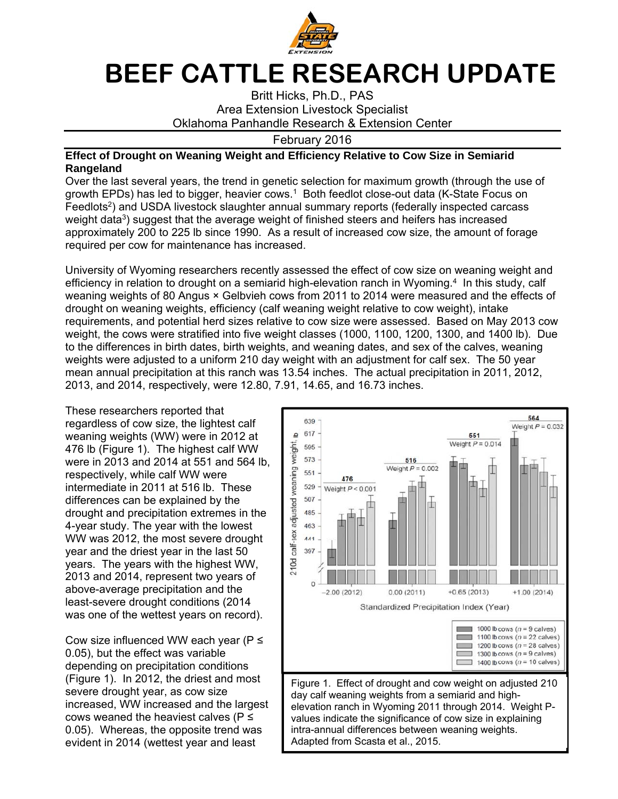

## **BEEF CATTLE RESEARCH UPDATE**

Britt Hicks, Ph.D., PAS Area Extension Livestock Specialist Oklahoma Panhandle Research & Extension Center

February 2016

## **Effect of Drought on Weaning Weight and Efficiency Relative to Cow Size in Semiarid Rangeland**

Over the last several years, the trend in genetic selection for maximum growth (through the use of growth EPDs) has led to bigger, heavier cows.1 Both feedlot close-out data (K-State Focus on Feedlots<sup>2</sup>) and USDA livestock slaughter annual summary reports (federally inspected carcass weight data<sup>3</sup>) suggest that the average weight of finished steers and heifers has increased approximately 200 to 225 lb since 1990. As a result of increased cow size, the amount of forage required per cow for maintenance has increased.

University of Wyoming researchers recently assessed the effect of cow size on weaning weight and efficiency in relation to drought on a semiarid high-elevation ranch in Wyoming.<sup>4</sup> In this study, calf weaning weights of 80 Angus × Gelbvieh cows from 2011 to 2014 were measured and the effects of drought on weaning weights, efficiency (calf weaning weight relative to cow weight), intake requirements, and potential herd sizes relative to cow size were assessed. Based on May 2013 cow weight, the cows were stratified into five weight classes (1000, 1100, 1200, 1300, and 1400 lb). Due to the differences in birth dates, birth weights, and weaning dates, and sex of the calves, weaning weights were adjusted to a uniform 210 day weight with an adjustment for calf sex. The 50 year mean annual precipitation at this ranch was 13.54 inches. The actual precipitation in 2011, 2012, 2013, and 2014, respectively, were 12.80, 7.91, 14.65, and 16.73 inches.

These researchers reported that regardless of cow size, the lightest calf weaning weights (WW) were in 2012 at 476 lb (Figure 1). The highest calf WW were in 2013 and 2014 at 551 and 564 lb, respectively, while calf WW were intermediate in 2011 at 516 lb. These differences can be explained by the drought and precipitation extremes in the 4-year study. The year with the lowest WW was 2012, the most severe drought year and the driest year in the last 50 years. The years with the highest WW, 2013 and 2014, represent two years of above-average precipitation and the least-severe drought conditions (2014 was one of the wettest years on record).

Cow size influenced WW each year ( $P \leq$ 0.05), but the effect was variable depending on precipitation conditions (Figure 1). In 2012, the driest and most severe drought year, as cow size increased, WW increased and the largest cows weaned the heaviest calves ( $P \leq$ 0.05). Whereas, the opposite trend was evident in 2014 (wettest year and least



day calf weaning weights from a semiarid and highelevation ranch in Wyoming 2011 through 2014. Weight Pvalues indicate the significance of cow size in explaining intra-annual differences between weaning weights. Adapted from Scasta et al., 2015.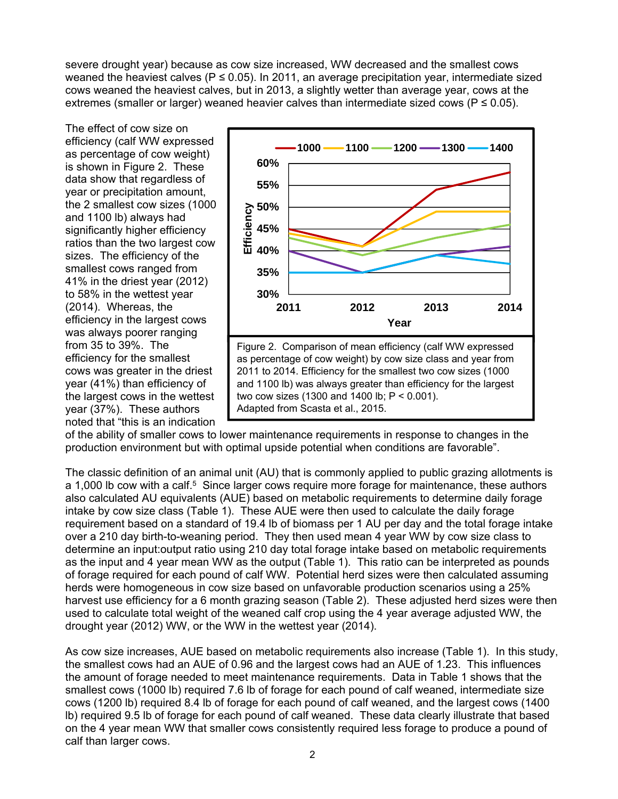severe drought year) because as cow size increased, WW decreased and the smallest cows weaned the heaviest calves ( $P \le 0.05$ ). In 2011, an average precipitation year, intermediate sized cows weaned the heaviest calves, but in 2013, a slightly wetter than average year, cows at the extremes (smaller or larger) weaned heavier calves than intermediate sized cows ( $P \le 0.05$ ).

The effect of cow size on efficiency (calf WW expressed as percentage of cow weight) is shown in Figure 2. These data show that regardless of year or precipitation amount, the 2 smallest cow sizes (1000 and 1100 lb) always had significantly higher efficiency ratios than the two largest cow sizes. The efficiency of the smallest cows ranged from 41% in the driest year (2012) to 58% in the wettest year (2014). Whereas, the efficiency in the largest cows was always poorer ranging from 35 to 39%. The efficiency for the smallest cows was greater in the driest year (41%) than efficiency of the largest cows in the wettest year (37%). These authors noted that "this is an indication



of the ability of smaller cows to lower maintenance requirements in response to changes in the production environment but with optimal upside potential when conditions are favorable".

The classic definition of an animal unit (AU) that is commonly applied to public grazing allotments is a 1,000 lb cow with a calf.<sup>5</sup> Since larger cows require more forage for maintenance, these authors also calculated AU equivalents (AUE) based on metabolic requirements to determine daily forage intake by cow size class (Table 1). These AUE were then used to calculate the daily forage requirement based on a standard of 19.4 lb of biomass per 1 AU per day and the total forage intake over a 210 day birth-to-weaning period. They then used mean 4 year WW by cow size class to determine an input:output ratio using 210 day total forage intake based on metabolic requirements as the input and 4 year mean WW as the output (Table 1). This ratio can be interpreted as pounds of forage required for each pound of calf WW. Potential herd sizes were then calculated assuming herds were homogeneous in cow size based on unfavorable production scenarios using a 25% harvest use efficiency for a 6 month grazing season (Table 2). These adjusted herd sizes were then used to calculate total weight of the weaned calf crop using the 4 year average adjusted WW, the drought year (2012) WW, or the WW in the wettest year (2014).

As cow size increases, AUE based on metabolic requirements also increase (Table 1). In this study, the smallest cows had an AUE of 0.96 and the largest cows had an AUE of 1.23. This influences the amount of forage needed to meet maintenance requirements. Data in Table 1 shows that the smallest cows (1000 lb) required 7.6 lb of forage for each pound of calf weaned, intermediate size cows (1200 lb) required 8.4 lb of forage for each pound of calf weaned, and the largest cows (1400 lb) required 9.5 lb of forage for each pound of calf weaned. These data clearly illustrate that based on the 4 year mean WW that smaller cows consistently required less forage to produce a pound of calf than larger cows.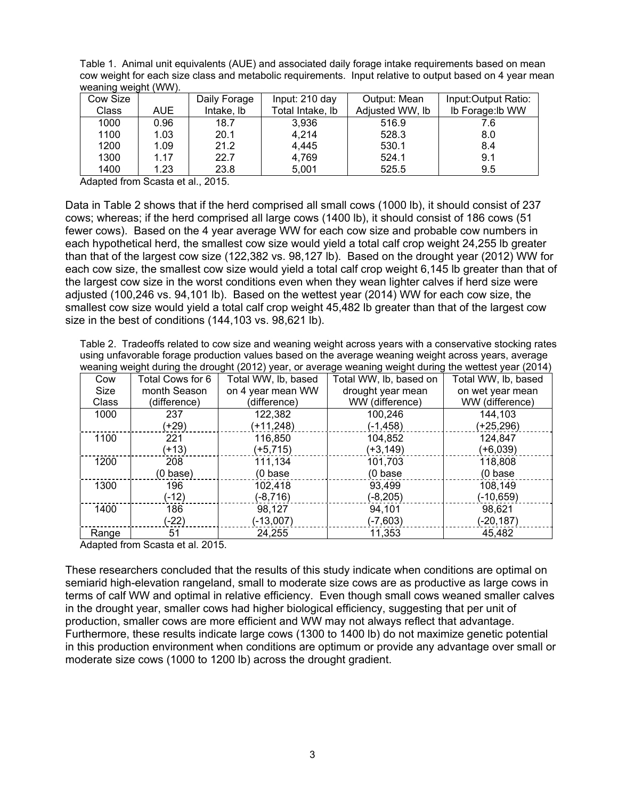| Table 1. Animal unit equivalents (AUE) and associated daily forage intake requirements based on mean     |  |
|----------------------------------------------------------------------------------------------------------|--|
| cow weight for each size class and metabolic requirements. Input relative to output based on 4 year mean |  |
| weaning weight (WW).                                                                                     |  |

| Cow Size |      | Daily Forage | Input: 210 day   | Output: Mean    | Input:Output Ratio: |
|----------|------|--------------|------------------|-----------------|---------------------|
| Class    | AUE. | Intake, Ib   | Total Intake, Ib | Adjusted WW, Ib | Ib Forage: Ib WW    |
| 1000     | 0.96 | 18.7         | 3.936            | 516.9           | 7.6                 |
| 1100     | 1.03 | 20.1         | 4,214            | 528.3           | 8.0                 |
| 1200     | 1.09 | 21.2         | 4,445            | 530.1           | 8.4                 |
| 1300     | 1.17 | 22.7         | 4.769            | 524.1           | 9.1                 |
| 1400     | 1.23 | 23.8         | 5.001            | 525.5           | 9.5                 |

Adapted from Scasta et al., 2015.

Data in Table 2 shows that if the herd comprised all small cows (1000 lb), it should consist of 237 cows; whereas; if the herd comprised all large cows (1400 lb), it should consist of 186 cows (51 fewer cows). Based on the 4 year average WW for each cow size and probable cow numbers in each hypothetical herd, the smallest cow size would yield a total calf crop weight 24,255 lb greater than that of the largest cow size (122,382 vs. 98,127 lb). Based on the drought year (2012) WW for each cow size, the smallest cow size would yield a total calf crop weight 6,145 lb greater than that of the largest cow size in the worst conditions even when they wean lighter calves if herd size were adjusted (100,246 vs. 94,101 lb). Based on the wettest year (2014) WW for each cow size, the smallest cow size would yield a total calf crop weight 45,482 lb greater than that of the largest cow size in the best of conditions (144,103 vs. 98,621 lb).

Table 2. Tradeoffs related to cow size and weaning weight across years with a conservative stocking rates using unfavorable forage production values based on the average weaning weight across years, average weaning weight during the drought (2012) year, or average weaning weight during the wettest year (2014)

| Cow         | Total Cows for 6 | Total WW, lb, based | Total WW, lb, based on | Total WW, lb, based |
|-------------|------------------|---------------------|------------------------|---------------------|
| <b>Size</b> | month Season     | on 4 year mean WW   | drought year mean      | on wet year mean    |
| Class       | (difference)     | (difference)        | WW (difference)        | WW (difference)     |
| 1000        | 237              | 122,382             | 100,246                | 144,103             |
|             | $(+29)$          | (+11,248)           | (-1,458)               | $(+25, 296)$        |
| 1100        | 221              | 116,850             | 104,852                | 124,847             |
|             | $(+13)$          | (+5,715)            | (+3,149)               | (+6,039)            |
| 1200        | 208              | 111,134             | 101,703                | 118,808             |
|             | (0 base)         | $(0 \text{ base})$  | $(0 \text{ base})$     | $(0 \text{ base})$  |
| 1300        | 196              | 102,418             | 93,499                 | 108,149             |
|             | $(-12)$          | (-8,716)            | (-8,205)               | (-10,659)           |
| 1400        | 186              | 98,127              | 94,101                 | 98,621              |
|             | $(-22)$          | $(-13,007)$         | $(-7,603)$             | $(-20, 187)$        |
| Range       | 51               | 24,255              | 11,353                 | 45,482              |

Adapted from Scasta et al. 2015.

These researchers concluded that the results of this study indicate when conditions are optimal on semiarid high-elevation rangeland, small to moderate size cows are as productive as large cows in terms of calf WW and optimal in relative efficiency. Even though small cows weaned smaller calves in the drought year, smaller cows had higher biological efficiency, suggesting that per unit of production, smaller cows are more efficient and WW may not always reflect that advantage. Furthermore, these results indicate large cows (1300 to 1400 lb) do not maximize genetic potential in this production environment when conditions are optimum or provide any advantage over small or moderate size cows (1000 to 1200 lb) across the drought gradient.